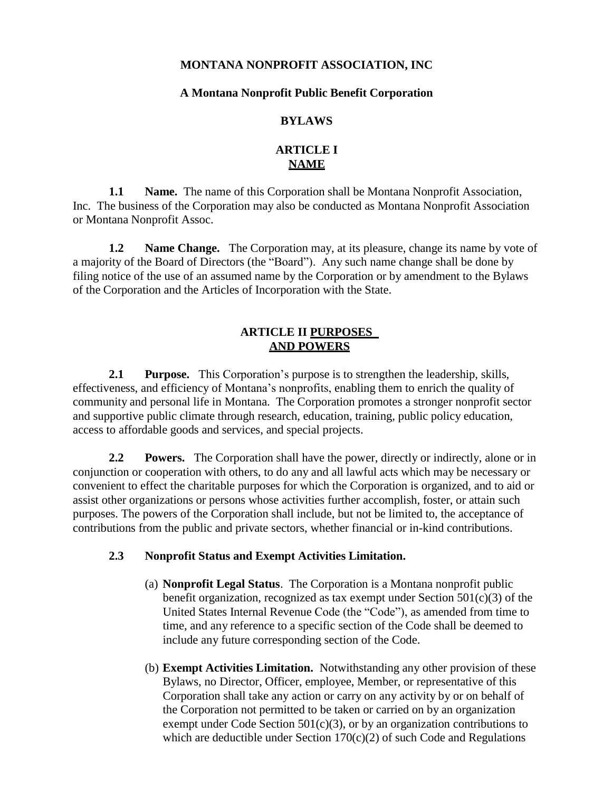#### **MONTANA NONPROFIT ASSOCIATION, INC**

#### **A Montana Nonprofit Public Benefit Corporation**

#### **BYLAWS**

# **ARTICLE I NAME**

**1.1 Name.** The name of this Corporation shall be Montana Nonprofit Association, Inc. The business of the Corporation may also be conducted as Montana Nonprofit Association or Montana Nonprofit Assoc.

**1.2 Name Change.** The Corporation may, at its pleasure, change its name by vote of a majority of the Board of Directors (the "Board"). Any such name change shall be done by filing notice of the use of an assumed name by the Corporation or by amendment to the Bylaws of the Corporation and the Articles of Incorporation with the State.

## **ARTICLE II PURPOSES AND POWERS**

**2.1 Purpose.** This Corporation's purpose is to strengthen the leadership, skills, effectiveness, and efficiency of Montana's nonprofits, enabling them to enrich the quality of community and personal life in Montana. The Corporation promotes a stronger nonprofit sector and supportive public climate through research, education, training, public policy education, access to affordable goods and services, and special projects.

**2.2 Powers.** The Corporation shall have the power, directly or indirectly, alone or in conjunction or cooperation with others, to do any and all lawful acts which may be necessary or convenient to effect the charitable purposes for which the Corporation is organized, and to aid or assist other organizations or persons whose activities further accomplish, foster, or attain such purposes. The powers of the Corporation shall include, but not be limited to, the acceptance of contributions from the public and private sectors, whether financial or in-kind contributions.

#### **2.3 Nonprofit Status and Exempt Activities Limitation.**

- (a) **Nonprofit Legal Status**. The Corporation is a Montana nonprofit public benefit organization, recognized as tax exempt under Section 501(c)(3) of the United States Internal Revenue Code (the "Code"), as amended from time to time, and any reference to a specific section of the Code shall be deemed to include any future corresponding section of the Code.
- (b) **Exempt Activities Limitation.** Notwithstanding any other provision of these Bylaws, no Director, Officer, employee, Member, or representative of this Corporation shall take any action or carry on any activity by or on behalf of the Corporation not permitted to be taken or carried on by an organization exempt under Code Section  $501(c)(3)$ , or by an organization contributions to which are deductible under Section  $170(c)(2)$  of such Code and Regulations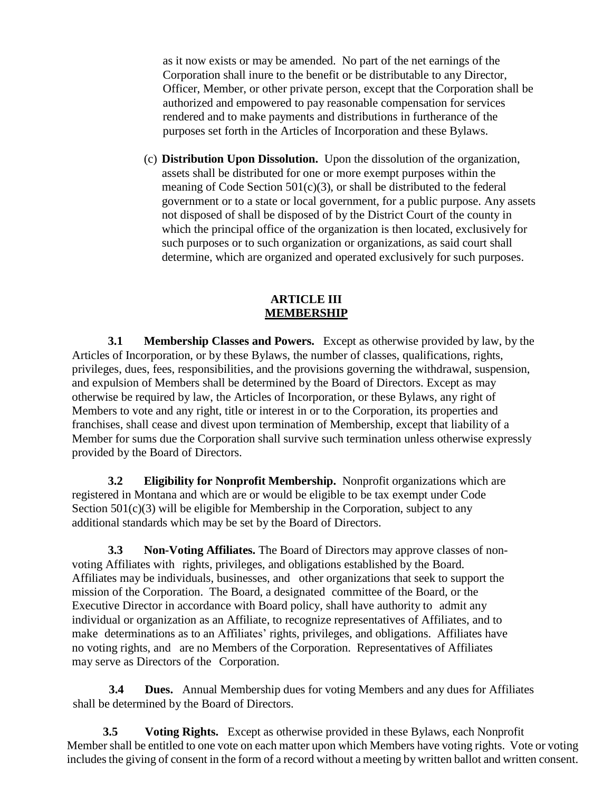as it now exists or may be amended. No part of the net earnings of the Corporation shall inure to the benefit or be distributable to any Director, Officer, Member, or other private person, except that the Corporation shall be authorized and empowered to pay reasonable compensation for services rendered and to make payments and distributions in furtherance of the purposes set forth in the Articles of Incorporation and these Bylaws.

(c) **Distribution Upon Dissolution.** Upon the dissolution of the organization, assets shall be distributed for one or more exempt purposes within the meaning of Code Section  $501(c)(3)$ , or shall be distributed to the federal government or to a state or local government, for a public purpose. Any assets not disposed of shall be disposed of by the District Court of the county in which the principal office of the organization is then located, exclusively for such purposes or to such organization or organizations, as said court shall determine, which are organized and operated exclusively for such purposes.

## **ARTICLE III MEMBERSHIP**

**3.1 Membership Classes and Powers.** Except as otherwise provided by law, by the Articles of Incorporation, or by these Bylaws, the number of classes, qualifications, rights, privileges, dues, fees, responsibilities, and the provisions governing the withdrawal, suspension, and expulsion of Members shall be determined by the Board of Directors. Except as may otherwise be required by law, the Articles of Incorporation, or these Bylaws, any right of Members to vote and any right, title or interest in or to the Corporation, its properties and franchises, shall cease and divest upon termination of Membership, except that liability of a Member for sums due the Corporation shall survive such termination unless otherwise expressly provided by the Board of Directors.

**3.2 Eligibility for Nonprofit Membership.** Nonprofit organizations which are registered in Montana and which are or would be eligible to be tax exempt under Code Section 501(c)(3) will be eligible for Membership in the Corporation, subject to any additional standards which may be set by the Board of Directors.

**3.3 Non-Voting Affiliates.** The Board of Directors may approve classes of nonvoting Affiliates with rights, privileges, and obligations established by the Board. Affiliates may be individuals, businesses, and other organizations that seek to support the mission of the Corporation. The Board, a designated committee of the Board, or the Executive Director in accordance with Board policy, shall have authority to admit any individual or organization as an Affiliate, to recognize representatives of Affiliates, and to make determinations as to an Affiliates' rights, privileges, and obligations. Affiliates have no voting rights, and are no Members of the Corporation. Representatives of Affiliates may serve as Directors of the Corporation.

**3.4 Dues.** Annual Membership dues for voting Members and any dues for Affiliates shall be determined by the Board of Directors.

**3.5 Voting Rights.** Except as otherwise provided in these Bylaws, each Nonprofit Member shall be entitled to one vote on each matter upon which Members have voting rights. Vote or voting includes the giving of consent in the form of a record without a meeting by written ballot and written consent.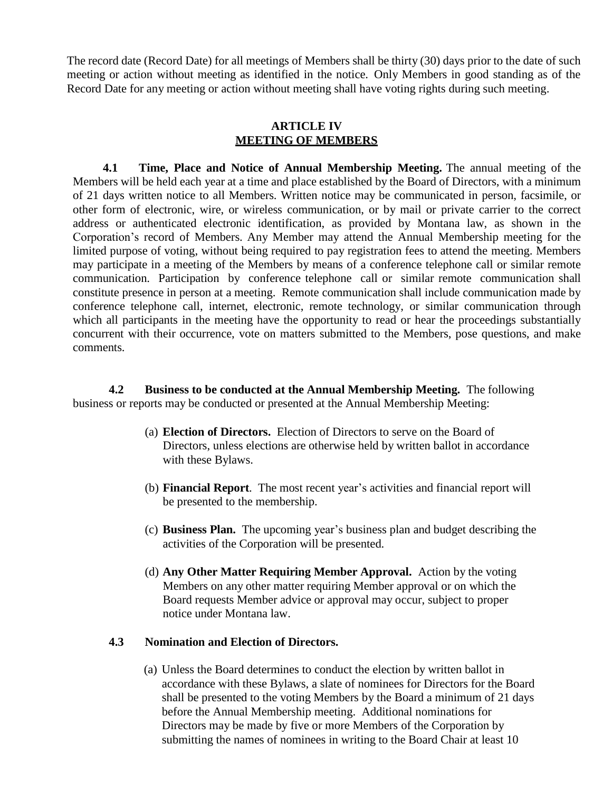The record date (Record Date) for all meetings of Members shall be thirty (30) days prior to the date of such meeting or action without meeting as identified in the notice. Only Members in good standing as of the Record Date for any meeting or action without meeting shall have voting rights during such meeting.

#### **ARTICLE IV MEETING OF MEMBERS**

**4.1 Time, Place and Notice of Annual Membership Meeting.** The annual meeting of the Members will be held each year at a time and place established by the Board of Directors, with a minimum of 21 days written notice to all Members. Written notice may be communicated in person, facsimile, or other form of electronic, wire, or wireless communication, or by mail or private carrier to the correct address or authenticated electronic identification, as provided by Montana law, as shown in the Corporation's record of Members. Any Member may attend the Annual Membership meeting for the limited purpose of voting, without being required to pay registration fees to attend the meeting. Members may participate in a meeting of the Members by means of a conference telephone call or similar remote communication. Participation by conference telephone call or similar remote communication shall constitute presence in person at a meeting. Remote communication shall include communication made by conference telephone call, internet, electronic, remote technology, or similar communication through which all participants in the meeting have the opportunity to read or hear the proceedings substantially concurrent with their occurrence, vote on matters submitted to the Members, pose questions, and make comments.

**4.2 Business to be conducted at the Annual Membership Meeting.** The following business or reports may be conducted or presented at the Annual Membership Meeting:

- (a) **Election of Directors.** Election of Directors to serve on the Board of Directors, unless elections are otherwise held by written ballot in accordance with these Bylaws.
- (b) **Financial Report**. The most recent year's activities and financial report will be presented to the membership.
- (c) **Business Plan.** The upcoming year's business plan and budget describing the activities of the Corporation will be presented.
- (d) **Any Other Matter Requiring Member Approval.** Action by the voting Members on any other matter requiring Member approval or on which the Board requests Member advice or approval may occur, subject to proper notice under Montana law.

## **4.3 Nomination and Election of Directors.**

(a) Unless the Board determines to conduct the election by written ballot in accordance with these Bylaws, a slate of nominees for Directors for the Board shall be presented to the voting Members by the Board a minimum of 21 days before the Annual Membership meeting. Additional nominations for Directors may be made by five or more Members of the Corporation by submitting the names of nominees in writing to the Board Chair at least 10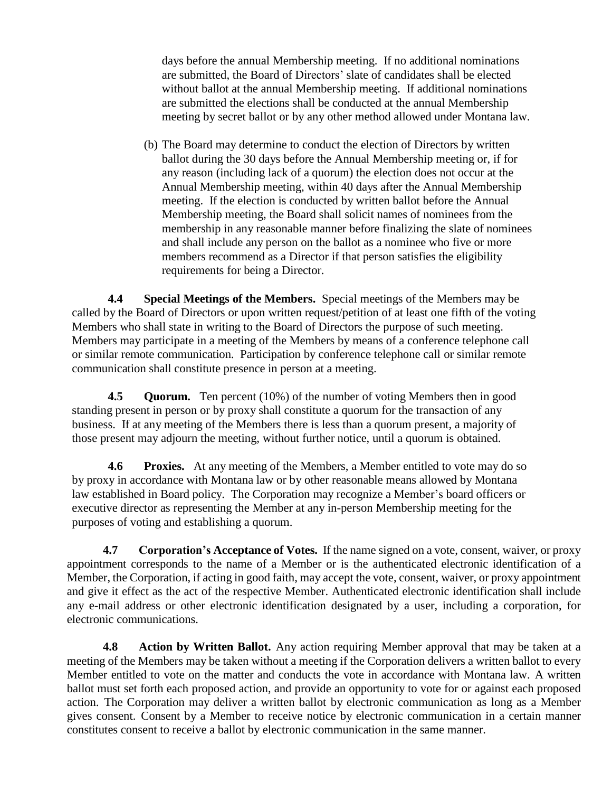days before the annual Membership meeting. If no additional nominations are submitted, the Board of Directors' slate of candidates shall be elected without ballot at the annual Membership meeting. If additional nominations are submitted the elections shall be conducted at the annual Membership meeting by secret ballot or by any other method allowed under Montana law.

(b) The Board may determine to conduct the election of Directors by written ballot during the 30 days before the Annual Membership meeting or, if for any reason (including lack of a quorum) the election does not occur at the Annual Membership meeting, within 40 days after the Annual Membership meeting. If the election is conducted by written ballot before the Annual Membership meeting, the Board shall solicit names of nominees from the membership in any reasonable manner before finalizing the slate of nominees and shall include any person on the ballot as a nominee who five or more members recommend as a Director if that person satisfies the eligibility requirements for being a Director.

**4.4 Special Meetings of the Members.** Special meetings of the Members may be called by the Board of Directors or upon written request/petition of at least one fifth of the voting Members who shall state in writing to the Board of Directors the purpose of such meeting. Members may participate in a meeting of the Members by means of a conference telephone call or similar remote communication. Participation by conference telephone call or similar remote communication shall constitute presence in person at a meeting.

**4.5 Quorum.** Ten percent (10%) of the number of voting Members then in good standing present in person or by proxy shall constitute a quorum for the transaction of any business. If at any meeting of the Members there is less than a quorum present, a majority of those present may adjourn the meeting, without further notice, until a quorum is obtained.

**4.6 Proxies.** At any meeting of the Members, a Member entitled to vote may do so by proxy in accordance with Montana law or by other reasonable means allowed by Montana law established in Board policy. The Corporation may recognize a Member's board officers or executive director as representing the Member at any in-person Membership meeting for the purposes of voting and establishing a quorum.

**4.7 Corporation's Acceptance of Votes.** If the name signed on a vote, consent, waiver, or proxy appointment corresponds to the name of a Member or is the authenticated electronic identification of a Member, the Corporation, if acting in good faith, may accept the vote, consent, waiver, or proxy appointment and give it effect as the act of the respective Member. Authenticated electronic identification shall include any e-mail address or other electronic identification designated by a user, including a corporation, for electronic communications.

**4.8 Action by Written Ballot.** Any action requiring Member approval that may be taken at a meeting of the Members may be taken without a meeting if the Corporation delivers a written ballot to every Member entitled to vote on the matter and conducts the vote in accordance with Montana law. A written ballot must set forth each proposed action, and provide an opportunity to vote for or against each proposed action. The Corporation may deliver a written ballot by electronic communication as long as a Member gives consent. Consent by a Member to receive notice by electronic communication in a certain manner constitutes consent to receive a ballot by electronic communication in the same manner.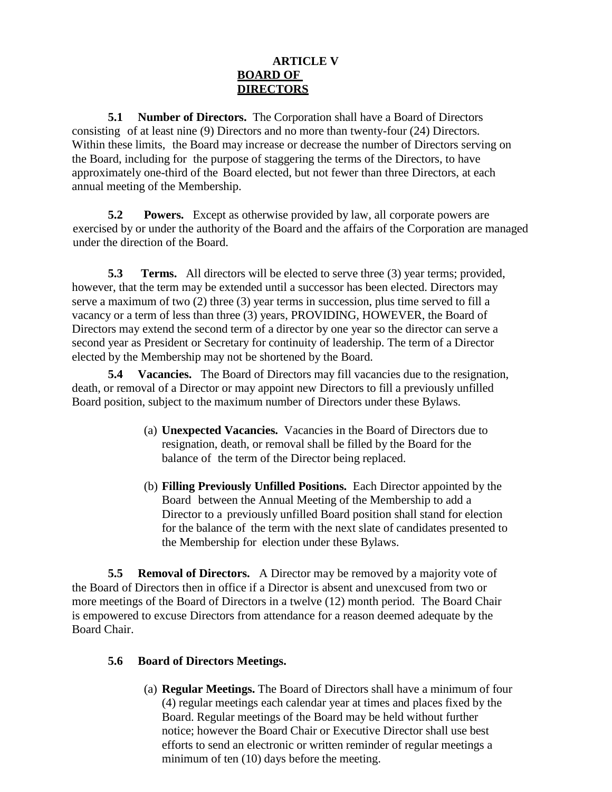# **ARTICLE V BOARD OF DIRECTORS**

**5.1 Number of Directors.** The Corporation shall have a Board of Directors consisting of at least nine (9) Directors and no more than twenty-four (24) Directors. Within these limits, the Board may increase or decrease the number of Directors serving on the Board, including for the purpose of staggering the terms of the Directors, to have approximately one-third of the Board elected, but not fewer than three Directors, at each annual meeting of the Membership.

**5.2 Powers.** Except as otherwise provided by law, all corporate powers are exercised by or under the authority of the Board and the affairs of the Corporation are managed under the direction of the Board.

**5.3 Terms.** All directors will be elected to serve three (3) year terms; provided, however, that the term may be extended until a successor has been elected. Directors may serve a maximum of two (2) three (3) year terms in succession, plus time served to fill a vacancy or a term of less than three (3) years, PROVIDING, HOWEVER, the Board of Directors may extend the second term of a director by one year so the director can serve a second year as President or Secretary for continuity of leadership. The term of a Director elected by the Membership may not be shortened by the Board.

**5.4 Vacancies.** The Board of Directors may fill vacancies due to the resignation, death, or removal of a Director or may appoint new Directors to fill a previously unfilled Board position, subject to the maximum number of Directors under these Bylaws.

- (a) **Unexpected Vacancies.** Vacancies in the Board of Directors due to resignation, death, or removal shall be filled by the Board for the balance of the term of the Director being replaced.
- (b) **Filling Previously Unfilled Positions.** Each Director appointed by the Board between the Annual Meeting of the Membership to add a Director to a previously unfilled Board position shall stand for election for the balance of the term with the next slate of candidates presented to the Membership for election under these Bylaws.

**5.5 Removal of Directors.** A Director may be removed by a majority vote of the Board of Directors then in office if a Director is absent and unexcused from two or more meetings of the Board of Directors in a twelve (12) month period. The Board Chair is empowered to excuse Directors from attendance for a reason deemed adequate by the Board Chair.

## **5.6 Board of Directors Meetings.**

(a) **Regular Meetings.** The Board of Directors shall have a minimum of four (4) regular meetings each calendar year at times and places fixed by the Board. Regular meetings of the Board may be held without further notice; however the Board Chair or Executive Director shall use best efforts to send an electronic or written reminder of regular meetings a minimum of ten (10) days before the meeting.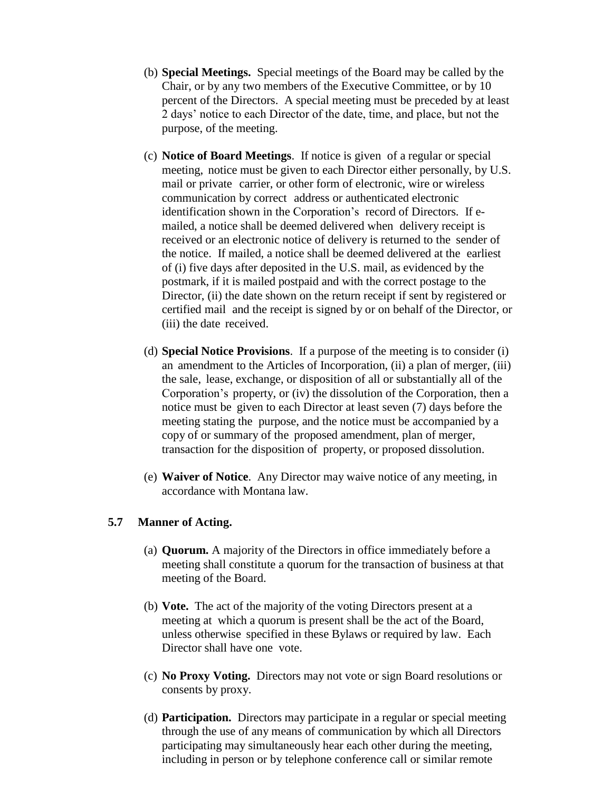- (b) **Special Meetings.** Special meetings of the Board may be called by the Chair, or by any two members of the Executive Committee, or by 10 percent of the Directors. A special meeting must be preceded by at least 2 days' notice to each Director of the date, time, and place, but not the purpose, of the meeting.
- (c) **Notice of Board Meetings**. If notice is given of a regular or special meeting, notice must be given to each Director either personally, by U.S. mail or private carrier, or other form of electronic, wire or wireless communication by correct address or authenticated electronic identification shown in the Corporation's record of Directors. If emailed, a notice shall be deemed delivered when delivery receipt is received or an electronic notice of delivery is returned to the sender of the notice. If mailed, a notice shall be deemed delivered at the earliest of (i) five days after deposited in the U.S. mail, as evidenced by the postmark, if it is mailed postpaid and with the correct postage to the Director, (ii) the date shown on the return receipt if sent by registered or certified mail and the receipt is signed by or on behalf of the Director, or (iii) the date received.
- (d) **Special Notice Provisions**. If a purpose of the meeting is to consider (i) an amendment to the Articles of Incorporation, (ii) a plan of merger, (iii) the sale, lease, exchange, or disposition of all or substantially all of the Corporation's property, or (iv) the dissolution of the Corporation, then a notice must be given to each Director at least seven (7) days before the meeting stating the purpose, and the notice must be accompanied by a copy of or summary of the proposed amendment, plan of merger, transaction for the disposition of property, or proposed dissolution.
- (e) **Waiver of Notice**. Any Director may waive notice of any meeting, in accordance with Montana law.

#### **5.7 Manner of Acting.**

- (a) **Quorum.** A majority of the Directors in office immediately before a meeting shall constitute a quorum for the transaction of business at that meeting of the Board.
- (b) **Vote.** The act of the majority of the voting Directors present at a meeting at which a quorum is present shall be the act of the Board, unless otherwise specified in these Bylaws or required by law. Each Director shall have one vote.
- (c) **No Proxy Voting.** Directors may not vote or sign Board resolutions or consents by proxy.
- (d) **Participation.** Directors may participate in a regular or special meeting through the use of any means of communication by which all Directors participating may simultaneously hear each other during the meeting, including in person or by telephone conference call or similar remote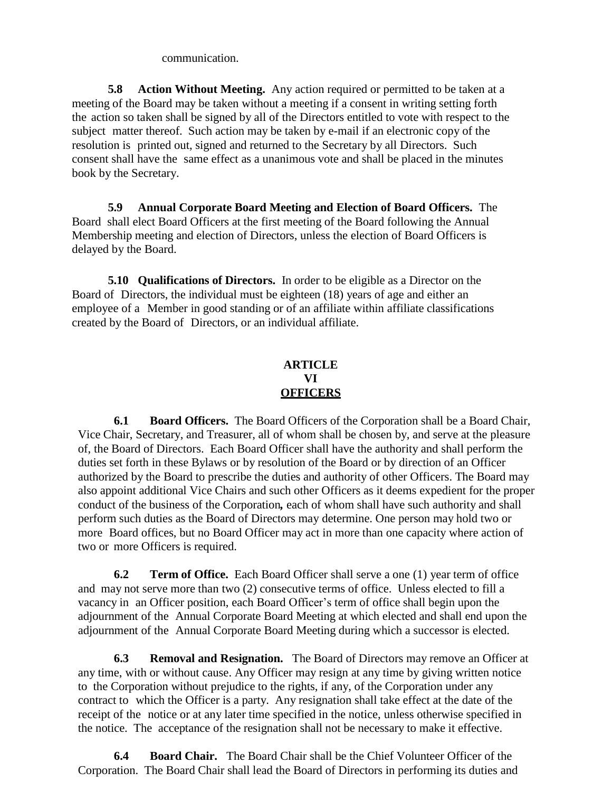communication.

**5.8 Action Without Meeting.** Any action required or permitted to be taken at a meeting of the Board may be taken without a meeting if a consent in writing setting forth the action so taken shall be signed by all of the Directors entitled to vote with respect to the subject matter thereof. Such action may be taken by e-mail if an electronic copy of the resolution is printed out, signed and returned to the Secretary by all Directors. Such consent shall have the same effect as a unanimous vote and shall be placed in the minutes book by the Secretary.

**5.9 Annual Corporate Board Meeting and Election of Board Officers.** The Board shall elect Board Officers at the first meeting of the Board following the Annual Membership meeting and election of Directors, unless the election of Board Officers is delayed by the Board.

**5.10 Qualifications of Directors.** In order to be eligible as a Director on the Board of Directors, the individual must be eighteen (18) years of age and either an employee of a Member in good standing or of an affiliate within affiliate classifications created by the Board of Directors, or an individual affiliate.

# **ARTICLE VI OFFICERS**

**6.1 Board Officers.** The Board Officers of the Corporation shall be a Board Chair, Vice Chair, Secretary, and Treasurer, all of whom shall be chosen by, and serve at the pleasure of, the Board of Directors. Each Board Officer shall have the authority and shall perform the duties set forth in these Bylaws or by resolution of the Board or by direction of an Officer authorized by the Board to prescribe the duties and authority of other Officers. The Board may also appoint additional Vice Chairs and such other Officers as it deems expedient for the proper conduct of the business of the Corporation*,* each of whom shall have such authority and shall perform such duties as the Board of Directors may determine. One person may hold two or more Board offices, but no Board Officer may act in more than one capacity where action of two or more Officers is required.

**6.2 Term of Office.** Each Board Officer shall serve a one (1) year term of office and may not serve more than two (2) consecutive terms of office. Unless elected to fill a vacancy in an Officer position, each Board Officer's term of office shall begin upon the adjournment of the Annual Corporate Board Meeting at which elected and shall end upon the adjournment of the Annual Corporate Board Meeting during which a successor is elected.

**6.3 Removal and Resignation.** The Board of Directors may remove an Officer at any time, with or without cause. Any Officer may resign at any time by giving written notice to the Corporation without prejudice to the rights, if any, of the Corporation under any contract to which the Officer is a party. Any resignation shall take effect at the date of the receipt of the notice or at any later time specified in the notice, unless otherwise specified in the notice. The acceptance of the resignation shall not be necessary to make it effective.

**6.4 Board Chair.** The Board Chair shall be the Chief Volunteer Officer of the Corporation. The Board Chair shall lead the Board of Directors in performing its duties and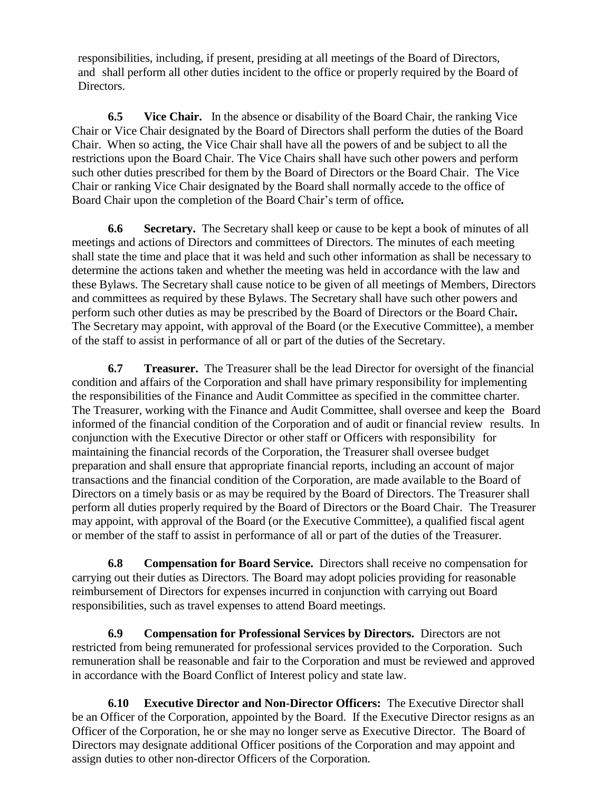responsibilities, including, if present, presiding at all meetings of the Board of Directors, and shall perform all other duties incident to the office or properly required by the Board of Directors.

**6.5 Vice Chair.** In the absence or disability of the Board Chair, the ranking Vice Chair or Vice Chair designated by the Board of Directors shall perform the duties of the Board Chair. When so acting, the Vice Chair shall have all the powers of and be subject to all the restrictions upon the Board Chair. The Vice Chairs shall have such other powers and perform such other duties prescribed for them by the Board of Directors or the Board Chair. The Vice Chair or ranking Vice Chair designated by the Board shall normally accede to the office of Board Chair upon the completion of the Board Chair's term of office*.*

**6.6 Secretary.** The Secretary shall keep or cause to be kept a book of minutes of all meetings and actions of Directors and committees of Directors. The minutes of each meeting shall state the time and place that it was held and such other information as shall be necessary to determine the actions taken and whether the meeting was held in accordance with the law and these Bylaws. The Secretary shall cause notice to be given of all meetings of Members, Directors and committees as required by these Bylaws. The Secretary shall have such other powers and perform such other duties as may be prescribed by the Board of Directors or the Board Chair*.* The Secretary may appoint, with approval of the Board (or the Executive Committee), a member of the staff to assist in performance of all or part of the duties of the Secretary.

**6.7 Treasurer.** The Treasurer shall be the lead Director for oversight of the financial condition and affairs of the Corporation and shall have primary responsibility for implementing the responsibilities of the Finance and Audit Committee as specified in the committee charter. The Treasurer, working with the Finance and Audit Committee, shall oversee and keep the Board informed of the financial condition of the Corporation and of audit or financial review results. In conjunction with the Executive Director or other staff or Officers with responsibility for maintaining the financial records of the Corporation, the Treasurer shall oversee budget preparation and shall ensure that appropriate financial reports, including an account of major transactions and the financial condition of the Corporation, are made available to the Board of Directors on a timely basis or as may be required by the Board of Directors. The Treasurer shall perform all duties properly required by the Board of Directors or the Board Chair. The Treasurer may appoint, with approval of the Board (or the Executive Committee), a qualified fiscal agent or member of the staff to assist in performance of all or part of the duties of the Treasurer.

**6.8 Compensation for Board Service.** Directors shall receive no compensation for carrying out their duties as Directors. The Board may adopt policies providing for reasonable reimbursement of Directors for expenses incurred in conjunction with carrying out Board responsibilities, such as travel expenses to attend Board meetings.

**6.9 Compensation for Professional Services by Directors.** Directors are not restricted from being remunerated for professional services provided to the Corporation. Such remuneration shall be reasonable and fair to the Corporation and must be reviewed and approved in accordance with the Board Conflict of Interest policy and state law.

**6.10 Executive Director and Non-Director Officers:** The Executive Director shall be an Officer of the Corporation, appointed by the Board. If the Executive Director resigns as an Officer of the Corporation, he or she may no longer serve as Executive Director. The Board of Directors may designate additional Officer positions of the Corporation and may appoint and assign duties to other non-director Officers of the Corporation.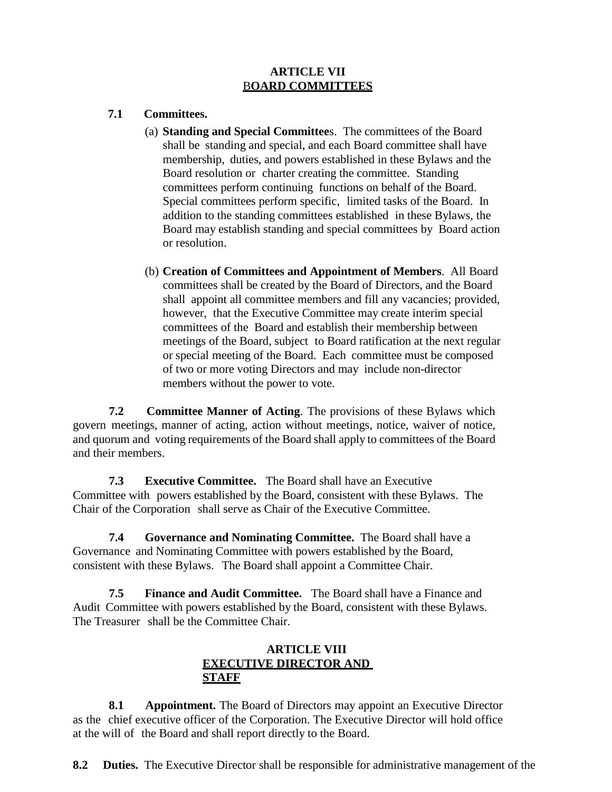## **ARTICLE VII** B**OARD COMMITTEES**

#### **7.1 Committees.**

- (a) **Standing and Special Committee**s. The committees of the Board shall be standing and special, and each Board committee shall have membership, duties, and powers established in these Bylaws and the Board resolution or charter creating the committee. Standing committees perform continuing functions on behalf of the Board. Special committees perform specific, limited tasks of the Board. In addition to the standing committees established in these Bylaws, the Board may establish standing and special committees by Board action or resolution.
- (b) **Creation of Committees and Appointment of Members**. All Board committees shall be created by the Board of Directors, and the Board shall appoint all committee members and fill any vacancies; provided, however, that the Executive Committee may create interim special committees of the Board and establish their membership between meetings of the Board, subject to Board ratification at the next regular or special meeting of the Board. Each committee must be composed of two or more voting Directors and may include non-director members without the power to vote.

**7.2 Committee Manner of Acting**. The provisions of these Bylaws which govern meetings, manner of acting, action without meetings, notice, waiver of notice, and quorum and voting requirements of the Board shall apply to committees of the Board and their members.

**7.3 Executive Committee.** The Board shall have an Executive Committee with powers established by the Board, consistent with these Bylaws. The Chair of the Corporation shall serve as Chair of the Executive Committee.

**7.4 Governance and Nominating Committee.** The Board shall have a Governance and Nominating Committee with powers established by the Board, consistent with these Bylaws. The Board shall appoint a Committee Chair.

**7.5 Finance and Audit Committee.** The Board shall have a Finance and Audit Committee with powers established by the Board, consistent with these Bylaws. The Treasurer shall be the Committee Chair.

# **ARTICLE VIII EXECUTIVE DIRECTOR AND STAFF**

**8.1 Appointment.** The Board of Directors may appoint an Executive Director as the chief executive officer of the Corporation. The Executive Director will hold office at the will of the Board and shall report directly to the Board.

**8.2 Duties.** The Executive Director shall be responsible for administrative management of the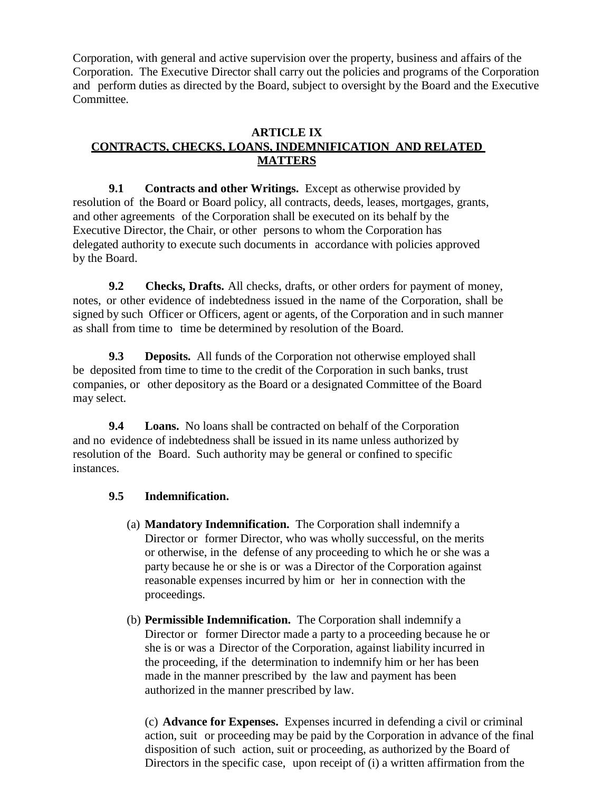Corporation, with general and active supervision over the property, business and affairs of the Corporation. The Executive Director shall carry out the policies and programs of the Corporation and perform duties as directed by the Board, subject to oversight by the Board and the Executive Committee.

## **ARTICLE IX CONTRACTS, CHECKS, LOANS, INDEMNIFICATION AND RELATED MATTERS**

**9.1 Contracts and other Writings.** Except as otherwise provided by resolution of the Board or Board policy, all contracts, deeds, leases, mortgages, grants, and other agreements of the Corporation shall be executed on its behalf by the Executive Director, the Chair, or other persons to whom the Corporation has delegated authority to execute such documents in accordance with policies approved by the Board.

**9.2 Checks, Drafts.** All checks, drafts, or other orders for payment of money, notes, or other evidence of indebtedness issued in the name of the Corporation, shall be signed by such Officer or Officers, agent or agents, of the Corporation and in such manner as shall from time to time be determined by resolution of the Board.

**9.3 Deposits.** All funds of the Corporation not otherwise employed shall be deposited from time to time to the credit of the Corporation in such banks, trust companies, or other depository as the Board or a designated Committee of the Board may select.

**9.4 Loans.** No loans shall be contracted on behalf of the Corporation and no evidence of indebtedness shall be issued in its name unless authorized by resolution of the Board. Such authority may be general or confined to specific instances.

## **9.5 Indemnification.**

- (a) **Mandatory Indemnification.** The Corporation shall indemnify a Director or former Director, who was wholly successful, on the merits or otherwise, in the defense of any proceeding to which he or she was a party because he or she is or was a Director of the Corporation against reasonable expenses incurred by him or her in connection with the proceedings.
- (b) **Permissible Indemnification.** The Corporation shall indemnify a Director or former Director made a party to a proceeding because he or she is or was a Director of the Corporation, against liability incurred in the proceeding, if the determination to indemnify him or her has been made in the manner prescribed by the law and payment has been authorized in the manner prescribed by law.

(c) **Advance for Expenses.** Expenses incurred in defending a civil or criminal action, suit or proceeding may be paid by the Corporation in advance of the final disposition of such action, suit or proceeding, as authorized by the Board of Directors in the specific case, upon receipt of (i) a written affirmation from the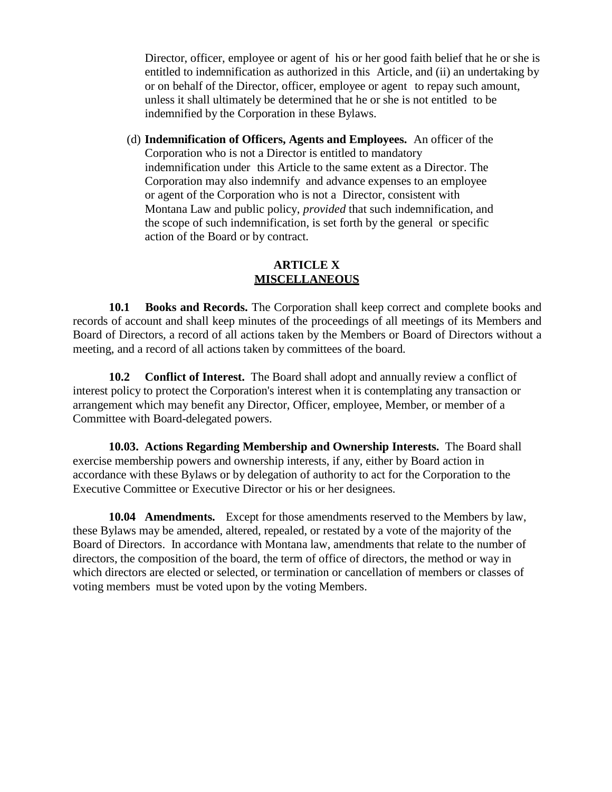Director, officer, employee or agent of his or her good faith belief that he or she is entitled to indemnification as authorized in this Article, and (ii) an undertaking by or on behalf of the Director, officer, employee or agent to repay such amount, unless it shall ultimately be determined that he or she is not entitled to be indemnified by the Corporation in these Bylaws.

(d) **Indemnification of Officers, Agents and Employees.** An officer of the Corporation who is not a Director is entitled to mandatory indemnification under this Article to the same extent as a Director. The Corporation may also indemnify and advance expenses to an employee or agent of the Corporation who is not a Director, consistent with Montana Law and public policy, *provided* that such indemnification, and the scope of such indemnification, is set forth by the general or specific action of the Board or by contract.

## **ARTICLE X MISCELLANEOUS**

**10.1 Books and Records.** The Corporation shall keep correct and complete books and records of account and shall keep minutes of the proceedings of all meetings of its Members and Board of Directors, a record of all actions taken by the Members or Board of Directors without a meeting, and a record of all actions taken by committees of the board.

**10.2 Conflict of Interest.** The Board shall adopt and annually review a conflict of interest policy to protect the Corporation's interest when it is contemplating any transaction or arrangement which may benefit any Director, Officer, employee, Member, or member of a Committee with Board-delegated powers.

**10.03. Actions Regarding Membership and Ownership Interests.** The Board shall exercise membership powers and ownership interests, if any, either by Board action in accordance with these Bylaws or by delegation of authority to act for the Corporation to the Executive Committee or Executive Director or his or her designees.

**10.04 Amendments.** Except for those amendments reserved to the Members by law, these Bylaws may be amended, altered, repealed, or restated by a vote of the majority of the Board of Directors. In accordance with Montana law, amendments that relate to the number of directors, the composition of the board, the term of office of directors, the method or way in which directors are elected or selected, or termination or cancellation of members or classes of voting members must be voted upon by the voting Members.